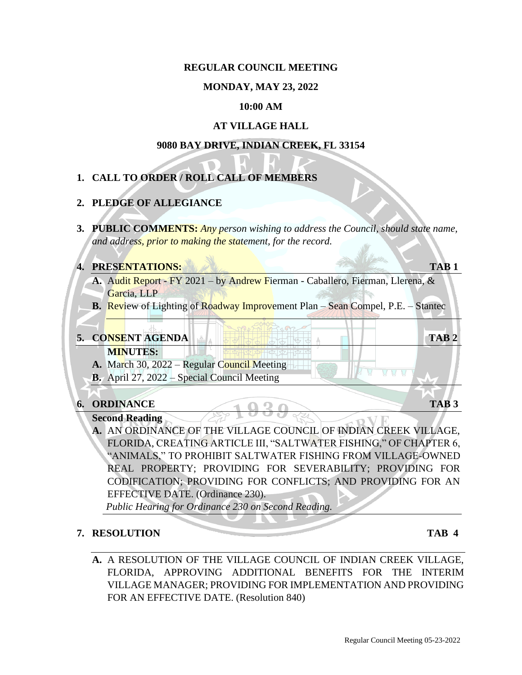## **REGULAR COUNCIL MEETING**

## **MONDAY, MAY 23, 2022**

## **10:00 AM**

## **AT VILLAGE HALL**

#### **9080 BAY DRIVE, INDIAN CREEK, FL 33154**

# **1. CALL TO ORDER / ROLL CALL OF MEMBERS**

## **2. PLEDGE OF ALLEGIANCE**

**3. PUBLIC COMMENTS:** *Any person wishing to address the Council, should state name, and address, prior to making the statement, for the record.* 

#### **4. PRESENTATIONS: TAB 1**

- **A.** Audit Report FY 2021 by Andrew Fierman Caballero, Fierman, Llerena, & Garcia, LLP
- **B.** Review of Lighting of Roadway Improvement Plan Sean Compel, P.E. Stantec

## **5. CONSENT AGENDA TAB 2**

- **MINUTES: ANTISE A.** March 30, 2022 – Regular Council Meeting
- **B.** April 27, 2022 Special Council Meeting

# **6. ORDINANCE TAB 3**

## **Second Reading**

**A.** AN ORDINANCE OF THE VILLAGE COUNCIL OF INDIAN CREEK VILLAGE, FLORIDA, CREATING ARTICLE III, "SALTWATER FISHING," OF CHAPTER 6, "ANIMALS," TO PROHIBIT SALTWATER FISHING FROM VILLAGE-OWNED REAL PROPERTY; PROVIDING FOR SEVERABILITY; PROVIDING FOR CODIFICATION; PROVIDING FOR CONFLICTS; AND PROVIDING FOR AN EFFECTIVE DATE. (Ordinance 230).

*Public Hearing for Ordinance 230 on Second Reading.* 

## **7. RESOLUTION TAB 4**

**A.** A RESOLUTION OF THE VILLAGE COUNCIL OF INDIAN CREEK VILLAGE, FLORIDA, APPROVING ADDITIONAL BENEFITS FOR THE INTERIM VILLAGE MANAGER; PROVIDING FOR IMPLEMENTATION AND PROVIDING FOR AN EFFECTIVE DATE. (Resolution 840)